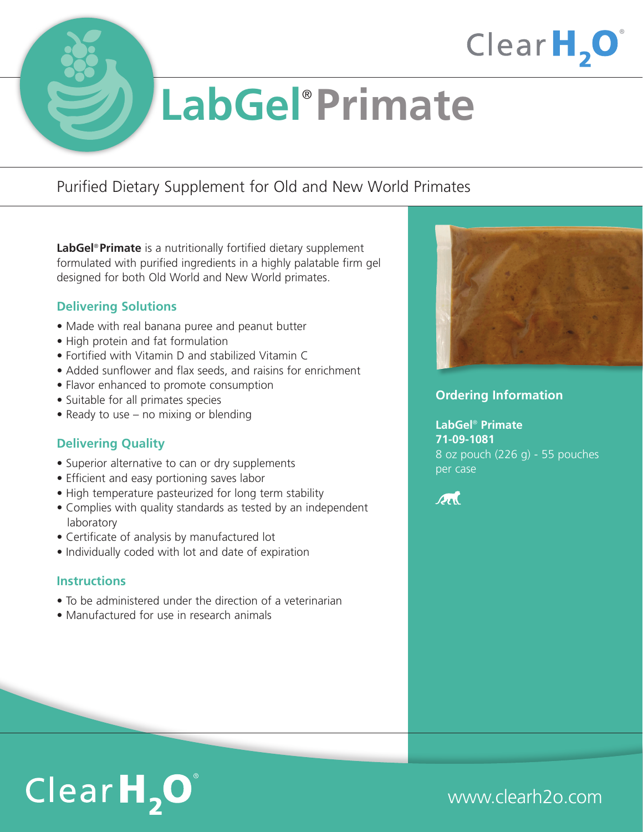

# **LabGel**® **Primate**

## Purified Dietary Supplement for Old and New World Primates

**LabGel**® **Primate** is a nutritionally fortified dietary supplement formulated with purified ingredients in a highly palatable firm gel designed for both Old World and New World primates.

## **Delivering Solutions**

- Made with real banana puree and peanut butter
- High protein and fat formulation
- Fortified with Vitamin D and stabilized Vitamin C
- Added sunflower and flax seeds, and raisins for enrichment
- Flavor enhanced to promote consumption
- Suitable for all primates species
- Ready to use no mixing or blending

## **Delivering Quality**

- Superior alternative to can or dry supplements
- Efficient and easy portioning saves labor
- High temperature pasteurized for long term stability
- Complies with quality standards as tested by an independent laboratory
- Certificate of analysis by manufactured lot
- Individually coded with lot and date of expiration

#### **Instructions**

- To be administered under the direction of a veterinarian
- Manufactured for use in research animals



ClearH<sub>2</sub>O

#### **Ordering Information**

**LabGel**® **Primate 71-09-1081** 8 oz pouch (226 g) - 55 pouches per case



## $ClearH<sub>2</sub>O<sup>°</sup>$

## www.clearh2o.com